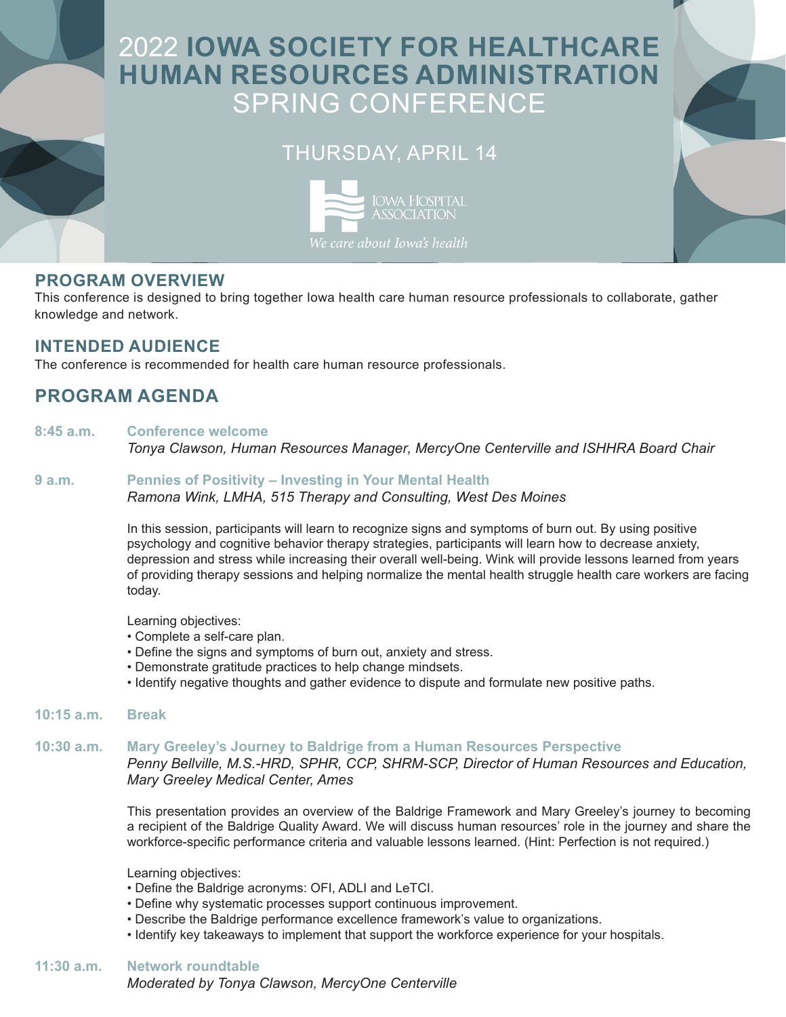# 2022 **IOWA SOCIETY FOR HEALTHCARE HUMAN RESOURCES ADMINISTRATION** SPRING CONFERENCE

## THURSDAY, APRIL 14



### **PROGRAM OVERVIEW**

This conference is designed to bring together Iowa health care human resource professionals to collaborate, gather knowledge and network.

### **INTENDED AUDIENCE**

The conference is recommended for health care human resource professionals.

### **PROGRAM AGENDA**

#### **8:45 a.m. Conference welcome**

*Tonya Clawson, Human Resources Manager, MercyOne Centerville and ISHHRA Board Chair* 

#### **9 a.m. Pennies of Positivity – Investing in Your Mental Health**

*Ramona Wink, LMHA, 515 Therapy and Consulting, West Des Moines* 

In this session, participants will learn to recognize signs and symptoms of burn out. By using positive psychology and cognitive behavior therapy strategies, participants will learn how to decrease anxiety, depression and stress while increasing their overall well-being. Wink will provide lessons learned from years of providing therapy sessions and helping normalize the mental health struggle health care workers are facing today.

Learning objectives:

- Complete a self-care plan.
- Define the signs and symptoms of burn out, anxiety and stress.
- Demonstrate gratitude practices to help change mindsets.
- Identify negative thoughts and gather evidence to dispute and formulate new positive paths.
- **10:15 a.m. Break**

### **10:30 a.m. Mary Greeley's Journey to Baldrige from a Human Resources Perspective**

*Penny Bellville, M.S.-HRD, SPHR, CCP, SHRM-SCP, Director of Human Resources and Education, Mary Greeley Medical Center, Ames*

This presentation provides an overview of the Baldrige Framework and Mary Greeley's journey to becoming a recipient of the Baldrige Quality Award. We will discuss human resources' role in the journey and share the workforce-specific performance criteria and valuable lessons learned. (Hint: Perfection is not required.)

Learning objectives:

- Define the Baldrige acronyms: OFI, ADLI and LeTCI.
- Define why systematic processes support continuous improvement.
- Describe the Baldrige performance excellence framework's value to organizations.
- Identify key takeaways to implement that support the workforce experience for your hospitals.

### **11:30 a.m. Network roundtable**

*Moderated by Tonya Clawson, MercyOne Centerville*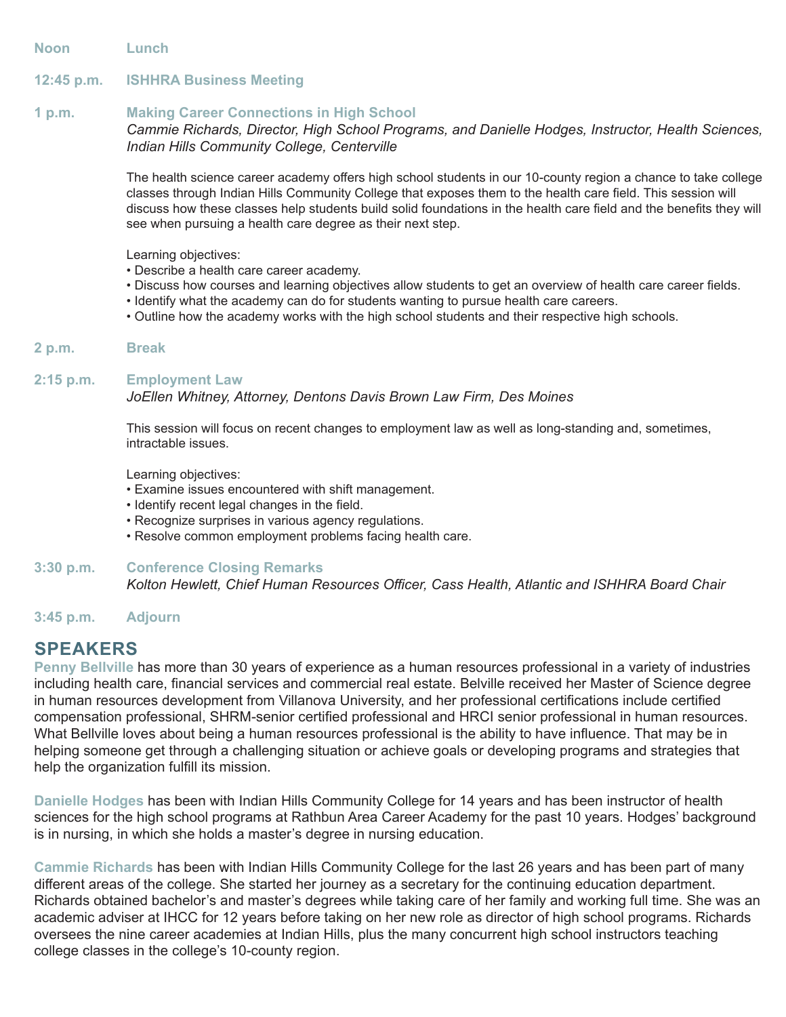**Noon Lunch** 

#### **12:45 p.m. ISHHRA Business Meeting**

#### **1 p.m. Making Career Connections in High School**

#### *Cammie Richards, Director, High School Programs, and Danielle Hodges, Instructor, Health Sciences, Indian Hills Community College, Centerville*

The health science career academy offers high school students in our 10-county region a chance to take college classes through Indian Hills Community College that exposes them to the health care field. This session will discuss how these classes help students build solid foundations in the health care field and the benefits they will see when pursuing a health care degree as their next step.

Learning objectives:

- Describe a health care career academy.
- Discuss how courses and learning objectives allow students to get an overview of health care career fields.
- Identify what the academy can do for students wanting to pursue health care careers.
- Outline how the academy works with the high school students and their respective high schools.

#### **2 p.m. Break**

#### **2:15 p.m. Employment Law**

#### *JoEllen Whitney, Attorney, Dentons Davis Brown Law Firm, Des Moines*

This session will focus on recent changes to employment law as well as long-standing and, sometimes, intractable issues.

Learning objectives:

- Examine issues encountered with shift management.
- Identify recent legal changes in the field.
- Recognize surprises in various agency regulations.
- Resolve common employment problems facing health care.

#### **3:30 p.m. Conference Closing Remarks**

*Kolton Hewlett, Chief Human Resources Officer, Cass Health, Atlantic and ISHHRA Board Chair* 

#### **3:45 p.m. Adjourn**

### **SPEAKERS**

**Penny Bellville** has more than 30 years of experience as a human resources professional in a variety of industries including health care, financial services and commercial real estate. Belville received her Master of Science degree in human resources development from Villanova University, and her professional certifications include certified compensation professional, SHRM-senior certified professional and HRCI senior professional in human resources. What Bellville loves about being a human resources professional is the ability to have influence. That may be in helping someone get through a challenging situation or achieve goals or developing programs and strategies that help the organization fulfill its mission.

**Danielle Hodges** has been with Indian Hills Community College for 14 years and has been instructor of health sciences for the high school programs at Rathbun Area Career Academy for the past 10 years. Hodges' background is in nursing, in which she holds a master's degree in nursing education.

**Cammie Richards** has been with Indian Hills Community College for the last 26 years and has been part of many different areas of the college. She started her journey as a secretary for the continuing education department. Richards obtained bachelor's and master's degrees while taking care of her family and working full time. She was an academic adviser at IHCC for 12 years before taking on her new role as director of high school programs. Richards oversees the nine career academies at Indian Hills, plus the many concurrent high school instructors teaching college classes in the college's 10-county region.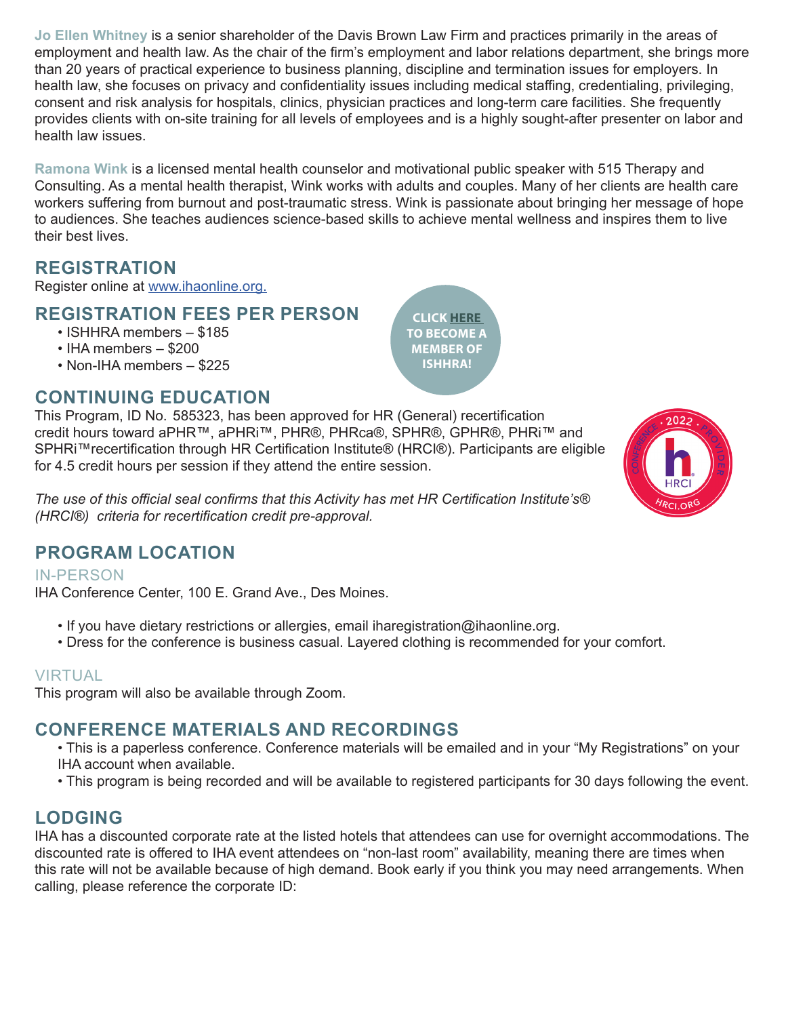**Jo Ellen Whitney** is a senior shareholder of the Davis Brown Law Firm and practices primarily in the areas of employment and health law. As the chair of the firm's employment and labor relations department, she brings more than 20 years of practical experience to business planning, discipline and termination issues for employers. In health law, she focuses on privacy and confidentiality issues including medical staffing, credentialing, privileging, consent and risk analysis for hospitals, clinics, physician practices and long-term care facilities. She frequently provides clients with on-site training for all levels of employees and is a highly sought-after presenter on labor and health law issues.

**Ramona Wink** is a licensed mental health counselor and motivational public speaker with 515 Therapy and Consulting. As a mental health therapist, Wink works with adults and couples. Many of her clients are health care workers suffering from burnout and post-traumatic stress. Wink is passionate about bringing her message of hope to audiences. She teaches audiences science-based skills to achieve mental wellness and inspires them to live their best lives.

## **REGISTRATION**

Register online at [www.ihaonline.org.](http://www.ihaonline.org)

### **REGISTRATION FEES PER PERSON**

- ISHHRA members \$185
- IHA members \$200
- Non-IHA members \$225

### **CONTINUING EDUCATION**

This Program, ID No. 585323, has been approved for HR (General) recertification credit hours toward aPHR™, aPHRi™, PHR®, PHRca®, SPHR®, GPHR®, PHRi™ and SPHRi™recertification through HR Certification Institute® (HRCI®). Participants are eligible for 4.5 credit hours per session if they attend the entire session.

*The use of this official seal confirms that this Activity has met HR Certification Institute's® (HRCI®) criteria for recertification credit pre-approval.*

### **PROGRAM LOCATION**

IN-PERSON

IHA Conference Center, 100 E. Grand Ave., Des Moines.

- If you have dietary restrictions or allergies, email iharegistration@ihaonline.org.
- Dress for the conference is business casual. Layered clothing is recommended for your comfort.

### VIRTUAL

This program will also be available through Zoom.

### **CONFERENCE MATERIALS AND RECORDINGS**

- This is a paperless conference. Conference materials will be emailed and in your "My Registrations" on your IHA account when available.
- This program is being recorded and will be available to registered participants for 30 days following the event.

### **LODGING**

IHA has a discounted corporate rate at the listed hotels that attendees can use for overnight accommodations. The discounted rate is offered to IHA event attendees on "non-last room" availability, meaning there are times when this rate will not be available because of high demand. Book early if you think you may need arrangements. When calling, please reference the corporate ID:

 $2022$ ס וא?

**CLICK [HERE](https://my.ihaonline.org/Membership/PMG-Memberships)  TO BECOME A MEMBER OF ISHHRA!**